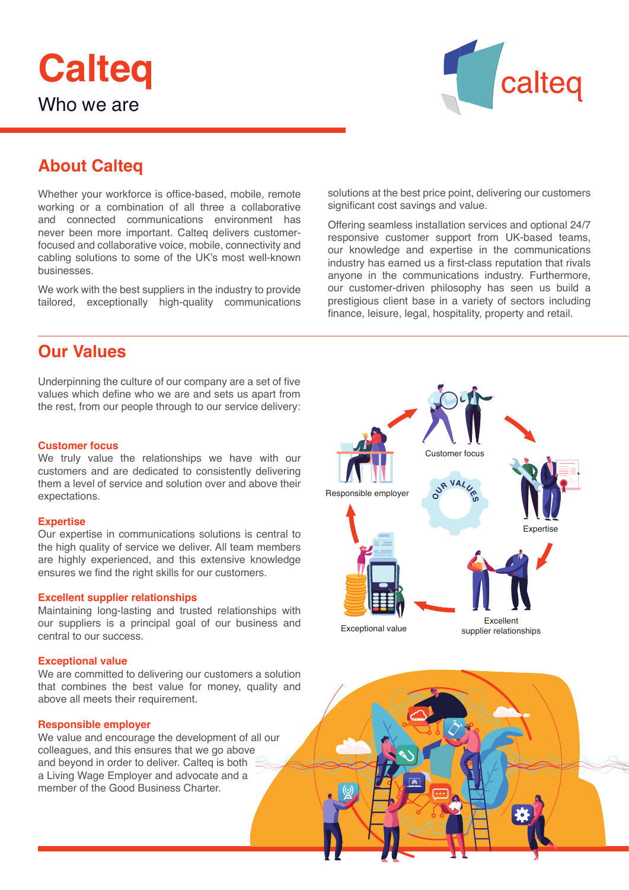



# **About Calteq**

Whether your workforce is office-based, mobile, remote working or a combination of all three a collaborative and connected communications environment has never been more important. Calteq delivers customerfocused and collaborative voice, mobile, connectivity and cabling solutions to some of the UK's most well-known businesses.

We work with the best suppliers in the industry to provide tailored, exceptionally high-quality communications

# **Our Values**

Underpinning the culture of our company are a set of five values which define who we are and sets us apart from the rest, from our people through to our service delivery:

### **Customer focus**

We truly value the relationships we have with our customers and are dedicated to consistently delivering them a level of service and solution over and above their expectations.

#### **Expertise**

Our expertise in communications solutions is central to the high quality of service we deliver. All team members are highly experienced, and this extensive knowledge ensures we find the right skills for our customers.

#### **Excellent supplier relationships**

Maintaining long-lasting and trusted relationships with our suppliers is a principal goal of our business and central to our success.

#### **Exceptional value**

We are committed to delivering our customers a solution that combines the best value for money, quality and above all meets their requirement.

### **Responsible employer**

We value and encourage the development of all our colleagues, and this ensures that we go above and beyond in order to deliver. Calteq is both a Living Wage Employer and advocate and a member of the Good Business Charter.

solutions at the best price point, delivering our customers significant cost savings and value.

Offering seamless installation services and optional 24/7 responsive customer support from UK-based teams, our knowledge and expertise in the communications industry has earned us a first-class reputation that rivals anyone in the communications industry. Furthermore, our customer-driven philosophy has seen us build a prestigious client base in a variety of sectors including finance, leisure, legal, hospitality, property and retail.